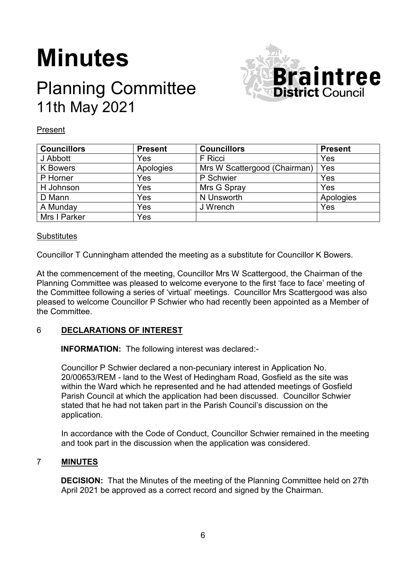# **Minutes**

## Planning Committee 11th May 2021



Present

| <b>Councillors</b> | <b>Present</b> | <b>Councillors</b>           | <b>Present</b> |
|--------------------|----------------|------------------------------|----------------|
| J Abbott           | Yes            | F Ricci                      | Yes            |
| <b>K</b> Bowers    | Apologies      | Mrs W Scattergood (Chairman) | Yes            |
| P Horner           | Yes            | P Schwier                    | Yes            |
| H Johnson          | Yes            | Mrs G Spray                  | Yes            |
| D Mann             | Yes            | N Unsworth                   | Apologies      |
| A Munday           | Yes            | J Wrench                     | Yes            |
| Mrs I Parker       | Yes            |                              |                |

#### **Substitutes**

Councillor T Cunningham attended the meeting as a substitute for Councillor K Bowers.

At the commencement of the meeting, Councillor Mrs W Scattergood, the Chairman of the Planning Committee was pleased to welcome everyone to the first 'face to face' meeting of the Committee following a series of 'virtual' meetings. Councillor Mrs Scattergood was also pleased to welcome Councillor P Schwier who had recently been appointed as a Member of the Committee.

### 6 **DECLARATIONS OF INTEREST**

**INFORMATION:** The following interest was declared:-

Councillor P Schwier declared a non-pecuniary interest in Application No. 20/00653/REM - land to the West of Hedingham Road, Gosfield as the site was within the Ward which he represented and he had attended meetings of Gosfield Parish Council at which the application had been discussed. Councillor Schwier stated that he had not taken part in the Parish Council's discussion on the application.

In accordance with the Code of Conduct, Councillor Schwier remained in the meeting and took part in the discussion when the application was considered.

### 7 **MINUTES**

**DECISION:** That the Minutes of the meeting of the Planning Committee held on 27th April 2021 be approved as a correct record and signed by the Chairman.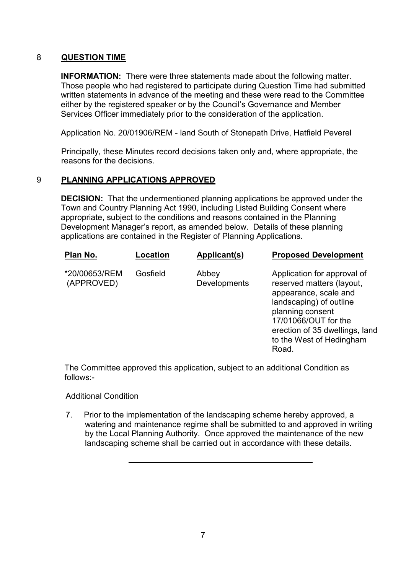#### 8 **QUESTION TIME**

**INFORMATION:** There were three statements made about the following matter. Those people who had registered to participate during Question Time had submitted written statements in advance of the meeting and these were read to the Committee either by the registered speaker or by the Council's Governance and Member Services Officer immediately prior to the consideration of the application.

Application No. 20/01906/REM - land South of Stonepath Drive, Hatfield Peverel

Principally, these Minutes record decisions taken only and, where appropriate, the reasons for the decisions.

### 9 **PLANNING APPLICATIONS APPROVED**

**DECISION:** That the undermentioned planning applications be approved under the Town and Country Planning Act 1990, including Listed Building Consent where appropriate, subject to the conditions and reasons contained in the Planning Development Manager's report, as amended below. Details of these planning applications are contained in the Register of Planning Applications.

| Plan No.                    | Location | Applicant(s)          | <b>Proposed Development</b>                                                                                                                                                                                                     |
|-----------------------------|----------|-----------------------|---------------------------------------------------------------------------------------------------------------------------------------------------------------------------------------------------------------------------------|
| *20/00653/REM<br>(APPROVED) | Gosfield | Abbey<br>Developments | Application for approval of<br>reserved matters (layout,<br>appearance, scale and<br>landscaping) of outline<br>planning consent<br>17/01066/OUT for the<br>erection of 35 dwellings, land<br>to the West of Hedingham<br>Road. |

The Committee approved this application, subject to an additional Condition as follows:-

#### Additional Condition

7. Prior to the implementation of the landscaping scheme hereby approved, a watering and maintenance regime shall be submitted to and approved in writing by the Local Planning Authority. Once approved the maintenance of the new landscaping scheme shall be carried out in accordance with these details.